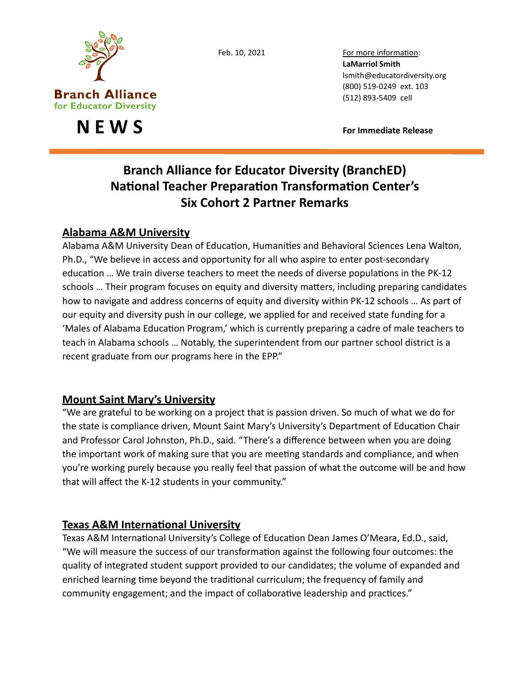

**N E W S CONS** 

Feb. 10, 2021 For more information: LaMarriol Smith lsmith@educatordiversity.org 

# **Branch Alliance for Educator Diversity (BranchED) National Teacher Preparation Transformation Center's Six Cohort 2 Partner Remarks**

## **Alabama A&M University**

Alabama A&M University Dean of Education, Humanities and Behavioral Sciences Lena Walton, Ph.D., "We believe in access and opportunity for all who aspire to enter post-secondary education ... We train diverse teachers to meet the needs of diverse populations in the PK-12 schools ... Their program focuses on equity and diversity matters, including preparing candidates how to navigate and address concerns of equity and diversity within PK-12 schools ... As part of our equity and diversity push in our college, we applied for and received state funding for a 'Males of Alabama Education Program,' which is currently preparing a cadre of male teachers to teach in Alabama schools ... Notably, the superintendent from our partner school district is a recent graduate from our programs here in the EPP."

## **Mount Saint Mary's University**

"We are grateful to be working on a project that is passion driven. So much of what we do for the state is compliance driven, Mount Saint Mary's University's Department of Education Chair and Professor Carol Johnston, Ph.D., said. "There's a difference between when you are doing the important work of making sure that you are meeting standards and compliance, and when you're working purely because you really feel that passion of what the outcome will be and how that will affect the K-12 students in your community."

## **Texas A&M International University**

Texas A&M International University's College of Education Dean James O'Meara, Ed.D., said, "We will measure the success of our transformation against the following four outcomes: the quality of integrated student support provided to our candidates; the volume of expanded and enriched learning time beyond the traditional curriculum; the frequency of family and community engagement; and the impact of collaborative leadership and practices."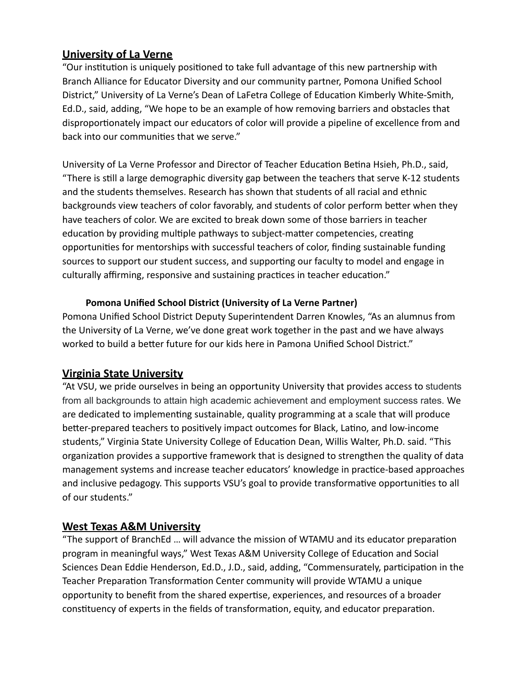### **University of La Verne**

"Our institution is uniquely positioned to take full advantage of this new partnership with Branch Alliance for Educator Diversity and our community partner, Pomona Unified School District," University of La Verne's Dean of LaFetra College of Education Kimberly White-Smith, Ed.D., said, adding, "We hope to be an example of how removing barriers and obstacles that disproportionately impact our educators of color will provide a pipeline of excellence from and back into our communities that we serve."

University of La Verne Professor and Director of Teacher Education Betina Hsieh, Ph.D., said, "There is still a large demographic diversity gap between the teachers that serve K-12 students and the students themselves. Research has shown that students of all racial and ethnic backgrounds view teachers of color favorably, and students of color perform better when they have teachers of color. We are excited to break down some of those barriers in teacher education by providing multiple pathways to subject-matter competencies, creating opportunities for mentorships with successful teachers of color, finding sustainable funding sources to support our student success, and supporting our faculty to model and engage in culturally affirming, responsive and sustaining practices in teacher education."

#### **Pomona Unified School District (University of La Verne Partner)**

Pomona Unified School District Deputy Superintendent Darren Knowles, "As an alumnus from the University of La Verne, we've done great work together in the past and we have always worked to build a better future for our kids here in Pamona Unified School District."

## **Virginia State University**

"At VSU, we pride ourselves in being an opportunity University that provides access to students from all backgrounds to attain high academic achievement and employment success rates. We are dedicated to implementing sustainable, quality programming at a scale that will produce better-prepared teachers to positively impact outcomes for Black, Latino, and low-income students," Virginia State University College of Education Dean, Willis Walter, Ph.D. said. "This organization provides a supportive framework that is designed to strengthen the quality of data management systems and increase teacher educators' knowledge in practice-based approaches and inclusive pedagogy. This supports VSU's goal to provide transformative opportunities to all of our students."

## **West Texas A&M University**

"The support of BranchEd ... will advance the mission of WTAMU and its educator preparation program in meaningful ways," West Texas A&M University College of Education and Social Sciences Dean Eddie Henderson, Ed.D., J.D., said, adding, "Commensurately, participation in the Teacher Preparation Transformation Center community will provide WTAMU a unique opportunity to benefit from the shared expertise, experiences, and resources of a broader constituency of experts in the fields of transformation, equity, and educator preparation.